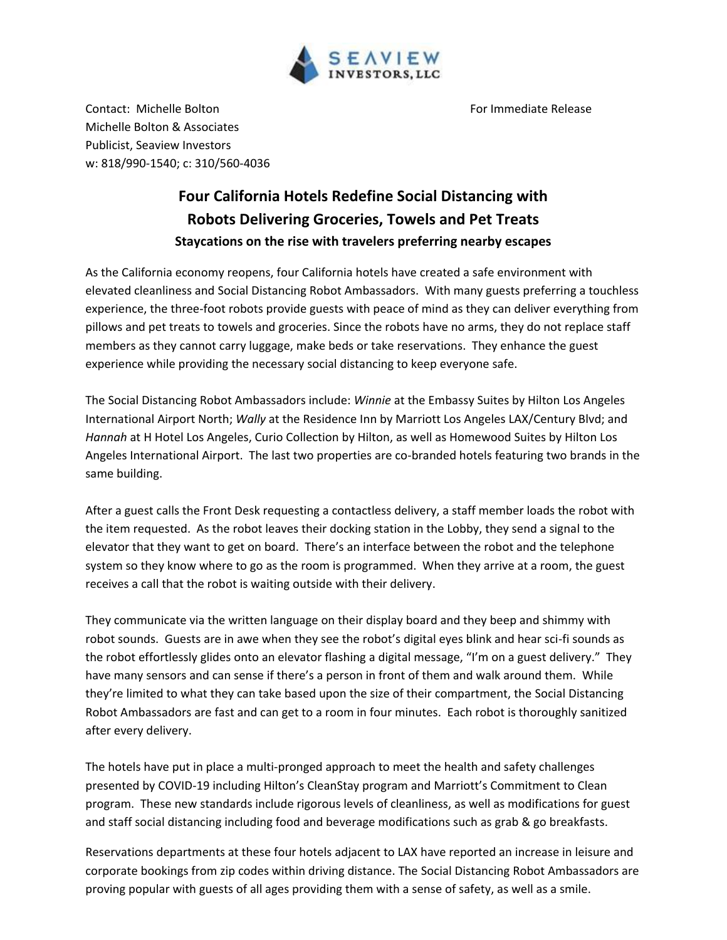

Contact: Michelle Bolton **For Immediate Release** For Immediate Release Michelle Bolton & Associates Publicist, Seaview Investors w: 818/990-1540; c: 310/560-4036

## **Four California Hotels Redefine Social Distancing with Robots Delivering Groceries, Towels and Pet Treats Staycations on the rise with travelers preferring nearby escapes**

As the California economy reopens, four California hotels have created a safe environment with elevated cleanliness and Social Distancing Robot Ambassadors. With many guests preferring a touchless experience, the three-foot robots provide guests with peace of mind as they can deliver everything from pillows and pet treats to towels and groceries. Since the robots have no arms, they do not replace staff members as they cannot carry luggage, make beds or take reservations. They enhance the guest experience while providing the necessary social distancing to keep everyone safe.

The Social Distancing Robot Ambassadors include: *Winnie* at the Embassy Suites by Hilton Los Angeles International Airport North; *Wally* at the Residence Inn by Marriott Los Angeles LAX/Century Blvd; and *Hannah* at H Hotel Los Angeles, Curio Collection by Hilton, as well as Homewood Suites by Hilton Los Angeles International Airport. The last two properties are co-branded hotels featuring two brands in the same building.

After a guest calls the Front Desk requesting a contactless delivery, a staff member loads the robot with the item requested. As the robot leaves their docking station in the Lobby, they send a signal to the elevator that they want to get on board. There's an interface between the robot and the telephone system so they know where to go as the room is programmed. When they arrive at a room, the guest receives a call that the robot is waiting outside with their delivery.

They communicate via the written language on their display board and they beep and shimmy with robot sounds. Guests are in awe when they see the robot's digital eyes blink and hear sci-fi sounds as the robot effortlessly glides onto an elevator flashing a digital message, "I'm on a guest delivery." They have many sensors and can sense if there's a person in front of them and walk around them. While they're limited to what they can take based upon the size of their compartment, the Social Distancing Robot Ambassadors are fast and can get to a room in four minutes. Each robot is thoroughly sanitized after every delivery.

The hotels have put in place a multi-pronged approach to meet the health and safety challenges presented by COVID-19 including Hilton's CleanStay program and Marriott's Commitment to Clean program. These new standards include rigorous levels of cleanliness, as well as modifications for guest and staff social distancing including food and beverage modifications such as grab & go breakfasts.

Reservations departments at these four hotels adjacent to LAX have reported an increase in leisure and corporate bookings from zip codes within driving distance. The Social Distancing Robot Ambassadors are proving popular with guests of all ages providing them with a sense of safety, as well as a smile.